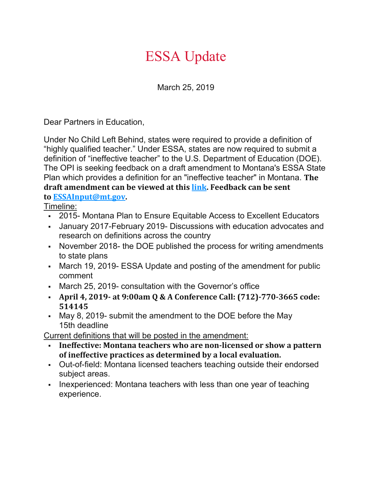## ESSA Update

March 25, 2019

Dear Partners in Education,

Under No Child Left Behind, states were required to provide a definition of "highly qualified teacher." Under ESSA, states are now required to submit a definition of "ineffective teacher" to the U.S. Department of Education (DOE). The OPI is seeking feedback on a draft amendment to Montana's ESSA State Plan which provides a definition for an "ineffective teacher" in Montana. **The draft amendment can be viewed at this [link.](http://opi.mt.gov/Portals/182/ESSA/Draft%20Ineffective%20Teacher%20Prorposal%20revised%20(2).pdf?ver=2019-03-25-140410-183) Feedback can be sent to [ESSAInput@mt.gov.](mailto:essainput@mt.gov)**

Timeline:

- 2015- Montana Plan to Ensure Equitable Access to Excellent Educators
- January 2017-February 2019- Discussions with education advocates and research on definitions across the country
- November 2018- the DOE published the process for writing amendments to state plans
- March 19, 2019- ESSA Update and posting of the amendment for public comment
- March 25, 2019- consultation with the Governor's office
- **April 4, 2019- at 9:00am Q & A Conference Call: (712)-770-3665 code: 514145**
- May 8, 2019- submit the amendment to the DOE before the May 15th deadline

Current definitions that will be posted in the amendment:

- **Ineffective: Montana teachers who are non-licensed or show a pattern of ineffective practices as determined by a local evaluation.**
- Out-of-field: Montana licensed teachers teaching outside their endorsed subject areas.
- Inexperienced: Montana teachers with less than one year of teaching experience.